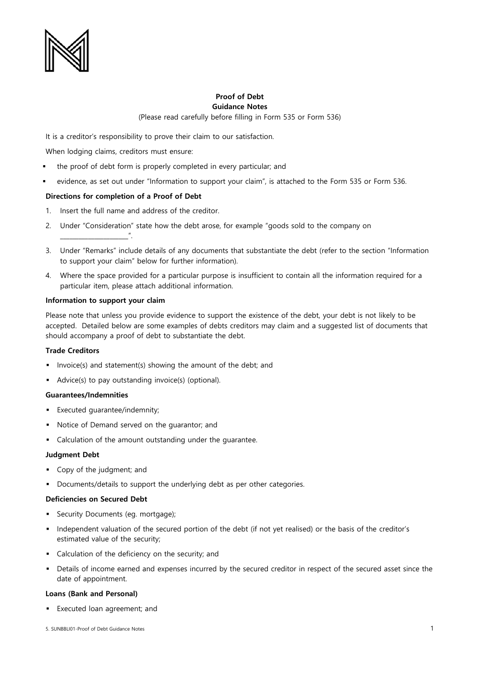

# **Proof of Debt Guidance Notes**

(Please read carefully before filling in Form 535 or Form 536)

It is a creditor's responsibility to prove their claim to our satisfaction.

When lodging claims, creditors must ensure:

- the proof of debt form is properly completed in every particular; and
- evidence, as set out under "Information to support your claim", is attached to the Form 535 or Form 536.

### **Directions for completion of a Proof of Debt**

- 1. Insert the full name and address of the creditor.
- 2. Under "Consideration" state how the debt arose, for example "goods sold to the company on
- 3. Under "Remarks" include details of any documents that substantiate the debt (refer to the section "Information to support your claim" below for further information).
- 4. Where the space provided for a particular purpose is insufficient to contain all the information required for a particular item, please attach additional information.

#### **Information to support your claim**

\_\_\_\_\_\_\_\_\_\_\_\_\_\_\_\_\_\_\_\_\_\_".

Please note that unless you provide evidence to support the existence of the debt, your debt is not likely to be accepted. Detailed below are some examples of debts creditors may claim and a suggested list of documents that should accompany a proof of debt to substantiate the debt.

#### **Trade Creditors**

- **Invoice(s) and statement(s) showing the amount of the debt; and**
- Advice(s) to pay outstanding invoice(s) (optional).

### **Guarantees/Indemnities**

- **Executed quarantee/indemnity;**
- Notice of Demand served on the guarantor; and
- Calculation of the amount outstanding under the guarantee.

#### **Judgment Debt**

- Copy of the judgment; and
- Documents/details to support the underlying debt as per other categories.

#### **Deficiencies on Secured Debt**

- Security Documents (eg. mortgage);
- Independent valuation of the secured portion of the debt (if not yet realised) or the basis of the creditor's estimated value of the security;
- Calculation of the deficiency on the security; and
- Details of income earned and expenses incurred by the secured creditor in respect of the secured asset since the date of appointment.

#### **Loans (Bank and Personal)**

Executed loan agreement; and

<sup>5.</sup> SUNBBLI01-Proof of Debt Guidance Notes 1